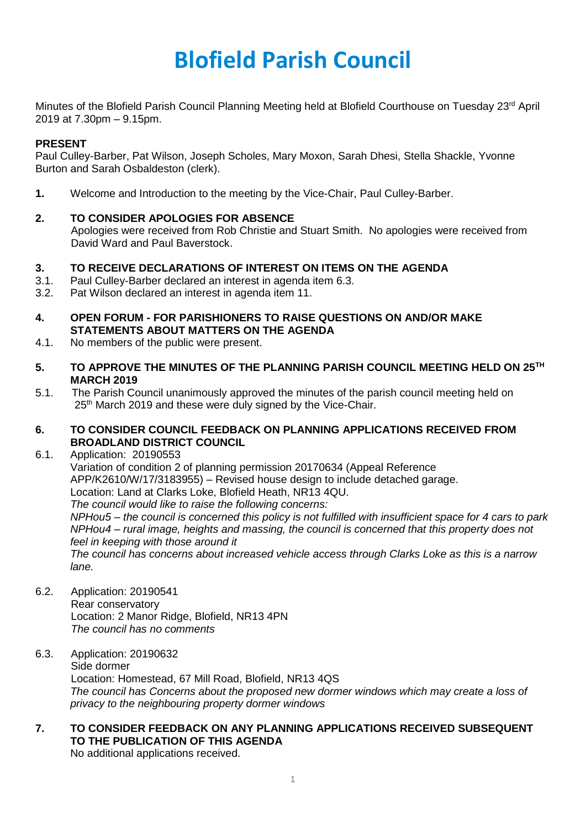# **Blofield Parish Council**

Minutes of the Blofield Parish Council Planning Meeting held at Blofield Courthouse on Tuesday 23<sup>rd</sup> April 2019 at 7.30pm – 9.15pm.

## **PRESENT**

Paul Culley-Barber, Pat Wilson, Joseph Scholes, Mary Moxon, Sarah Dhesi, Stella Shackle, Yvonne Burton and Sarah Osbaldeston (clerk).

**1.** Welcome and Introduction to the meeting by the Vice-Chair, Paul Culley-Barber.

# **2. TO CONSIDER APOLOGIES FOR ABSENCE**

Apologies were received from Rob Christie and Stuart Smith. No apologies were received from David Ward and Paul Baverstock.

## **3. TO RECEIVE DECLARATIONS OF INTEREST ON ITEMS ON THE AGENDA**

- 3.1. Paul Culley-Barber declared an interest in agenda item 6.3.
- 3.2. Pat Wilson declared an interest in agenda item 11.
- **4. OPEN FORUM - FOR PARISHIONERS TO RAISE QUESTIONS ON AND/OR MAKE STATEMENTS ABOUT MATTERS ON THE AGENDA**
- 4.1. No members of the public were present.
- **5. TO APPROVE THE MINUTES OF THE PLANNING PARISH COUNCIL MEETING HELD ON 25TH MARCH 2019**
- 5.1. The Parish Council unanimously approved the minutes of the parish council meeting held on 25<sup>th</sup> March 2019 and these were duly signed by the Vice-Chair.

## **6. TO CONSIDER COUNCIL FEEDBACK ON PLANNING APPLICATIONS RECEIVED FROM BROADLAND DISTRICT COUNCIL**

6.1. Application: 20190553

Variation of condition 2 of planning permission 20170634 (Appeal Reference APP/K2610/W/17/3183955) – Revised house design to include detached garage. Location: Land at Clarks Loke, Blofield Heath, NR13 4QU. *The council would like to raise the following concerns: NPHou5 – the council is concerned this policy is not fulfilled with insufficient space for 4 cars to park*

*NPHou4 – rural image, heights and massing, the council is concerned that this property does not feel in keeping with those around it*

*The council has concerns about increased vehicle access through Clarks Loke as this is a narrow lane.* 

6.2. Application: 20190541 Rear conservatory Location: 2 Manor Ridge, Blofield, NR13 4PN *The council has no comments*

### 6.3. Application: 20190632 Side dormer Location: Homestead, 67 Mill Road, Blofield, NR13 4QS *The council has Concerns about the proposed new dormer windows which may create a loss of privacy to the neighbouring property dormer windows*

#### **7. TO CONSIDER FEEDBACK ON ANY PLANNING APPLICATIONS RECEIVED SUBSEQUENT TO THE PUBLICATION OF THIS AGENDA** No additional applications received.

1